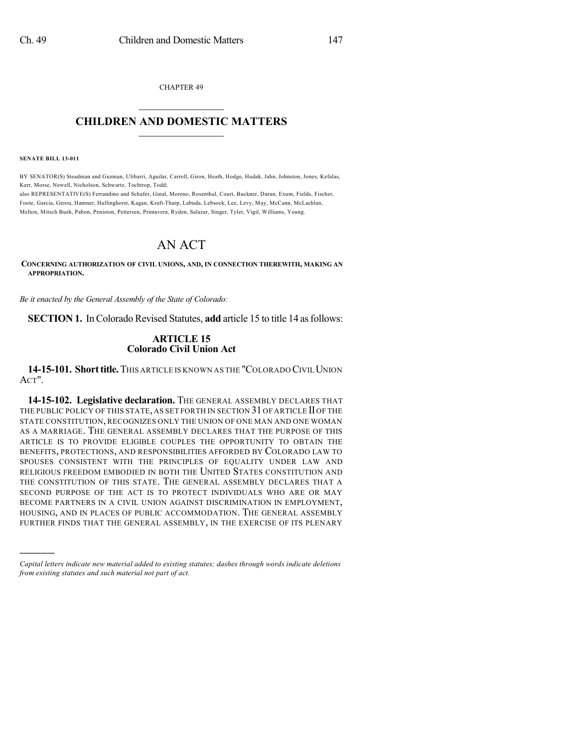CHAPTER 49  $\mathcal{L}_\text{max}$  . The set of the set of the set of the set of the set of the set of the set of the set of the set of the set of the set of the set of the set of the set of the set of the set of the set of the set of the set

## **CHILDREN AND DOMESTIC MATTERS**  $\_$

**SENATE BILL 13-011**

)))))

BY SENATOR(S) Steadman and Guzman, Ulibarri, Aguilar, Carroll, Giron, Heath, Hodge, Hudak, Jahn, Johnston, Jones, Kefalas, Kerr, Morse, Newell, Nicholson, Schwartz, Tochtrop, Todd;

also REPRESENTATIVE(S) Ferrandino and Schafer, Ginal, Moreno, Rosenthal, Court, Buckner, Duran, Exum, Fields, Fischer, Foote, Garcia, Gerou, Hamner, Hullinghorst, Kagan, Kraft-Tharp, Labuda, Lebsock, Lee, Levy, May, McCann, McLachlan, Melton, Mitsch Bush, Pabon, Peniston, Pettersen, Primavera, Ryden, Salazar, Singer, Tyler, Vigil, Williams, Young.

# AN ACT

**CONCERNING AUTHORIZATION OF CIVIL UNIONS, AND, IN CONNECTION THEREWITH, MAKING AN APPROPRIATION.**

*Be it enacted by the General Assembly of the State of Colorado:*

**SECTION 1.** In Colorado Revised Statutes, **add** article 15 to title 14 as follows:

## **ARTICLE 15 Colorado Civil Union Act**

**14-15-101. Shorttitle.**THIS ARTICLE IS KNOWN AS THE "COLORADO CIVILUNION ACT".

**14-15-102. Legislative declaration.** THE GENERAL ASSEMBLY DECLARES THAT THE PUBLIC POLICY OF THIS STATE, AS SET FORTH IN SECTION 31 OF ARTICLE II OF THE STATE CONSTITUTION, RECOGNIZES ONLY THE UNION OF ONE MAN AND ONE WOMAN AS A MARRIAGE. THE GENERAL ASSEMBLY DECLARES THAT THE PURPOSE OF THIS ARTICLE IS TO PROVIDE ELIGIBLE COUPLES THE OPPORTUNITY TO OBTAIN THE BENEFITS, PROTECTIONS, AND RESPONSIBILITIES AFFORDED BY COLORADO LAW TO SPOUSES CONSISTENT WITH THE PRINCIPLES OF EQUALITY UNDER LAW AND RELIGIOUS FREEDOM EMBODIED IN BOTH THE UNITED STATES CONSTITUTION AND THE CONSTITUTION OF THIS STATE. THE GENERAL ASSEMBLY DECLARES THAT A SECOND PURPOSE OF THE ACT IS TO PROTECT INDIVIDUALS WHO ARE OR MAY BECOME PARTNERS IN A CIVIL UNION AGAINST DISCRIMINATION IN EMPLOYMENT, HOUSING, AND IN PLACES OF PUBLIC ACCOMMODATION. THE GENERAL ASSEMBLY FURTHER FINDS THAT THE GENERAL ASSEMBLY, IN THE EXERCISE OF ITS PLENARY

*Capital letters indicate new material added to existing statutes; dashes through words indicate deletions from existing statutes and such material not part of act.*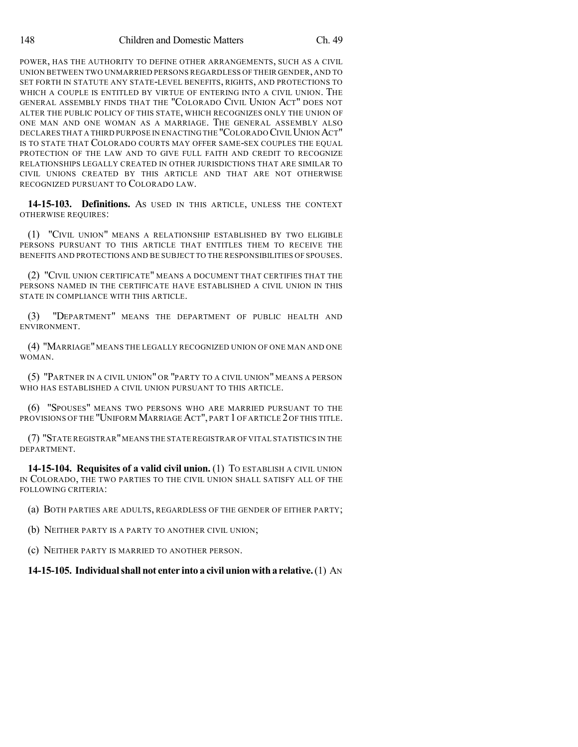POWER, HAS THE AUTHORITY TO DEFINE OTHER ARRANGEMENTS, SUCH AS A CIVIL UNION BETWEEN TWO UNMARRIED PERSONS REGARDLESS OF THEIR GENDER, AND TO SET FORTH IN STATUTE ANY STATE-LEVEL BENEFITS, RIGHTS, AND PROTECTIONS TO WHICH A COUPLE IS ENTITLED BY VIRTUE OF ENTERING INTO A CIVIL UNION. THE GENERAL ASSEMBLY FINDS THAT THE "COLORADO CIVIL UNION ACT" DOES NOT ALTER THE PUBLIC POLICY OF THIS STATE, WHICH RECOGNIZES ONLY THE UNION OF ONE MAN AND ONE WOMAN AS A MARRIAGE. THE GENERAL ASSEMBLY ALSO DECLARES THAT A THIRD PURPOSE IN ENACTING THE "COLORADO CIVIL UNION ACT" IS TO STATE THAT COLORADO COURTS MAY OFFER SAME-SEX COUPLES THE EQUAL PROTECTION OF THE LAW AND TO GIVE FULL FAITH AND CREDIT TO RECOGNIZE RELATIONSHIPS LEGALLY CREATED IN OTHER JURISDICTIONS THAT ARE SIMILAR TO CIVIL UNIONS CREATED BY THIS ARTICLE AND THAT ARE NOT OTHERWISE RECOGNIZED PURSUANT TO COLORADO LAW.

**14-15-103. Definitions.** AS USED IN THIS ARTICLE, UNLESS THE CONTEXT OTHERWISE REQUIRES:

(1) "CIVIL UNION" MEANS A RELATIONSHIP ESTABLISHED BY TWO ELIGIBLE PERSONS PURSUANT TO THIS ARTICLE THAT ENTITLES THEM TO RECEIVE THE BENEFITS AND PROTECTIONS AND BE SUBJECT TO THE RESPONSIBILITIES OF SPOUSES.

(2) "CIVIL UNION CERTIFICATE" MEANS A DOCUMENT THAT CERTIFIES THAT THE PERSONS NAMED IN THE CERTIFICATE HAVE ESTABLISHED A CIVIL UNION IN THIS STATE IN COMPLIANCE WITH THIS ARTICLE.

(3) "DEPARTMENT" MEANS THE DEPARTMENT OF PUBLIC HEALTH AND ENVIRONMENT.

(4) "MARRIAGE" MEANS THE LEGALLY RECOGNIZED UNION OF ONE MAN AND ONE WOMAN.

(5) "PARTNER IN A CIVIL UNION" OR "PARTY TO A CIVIL UNION" MEANS A PERSON WHO HAS ESTABLISHED A CIVIL UNION PURSUANT TO THIS ARTICLE.

(6) "SPOUSES" MEANS TWO PERSONS WHO ARE MARRIED PURSUANT TO THE PROVISIONS OF THE "UNIFORM MARRIAGE ACT", PART 1 OF ARTICLE 2 OF THIS TITLE.

(7) "STATE REGISTRAR"MEANS THE STATE REGISTRAR OF VITAL STATISTICS IN THE DEPARTMENT.

**14-15-104. Requisites of a valid civil union.** (1) TO ESTABLISH A CIVIL UNION IN COLORADO, THE TWO PARTIES TO THE CIVIL UNION SHALL SATISFY ALL OF THE FOLLOWING CRITERIA:

(a) BOTH PARTIES ARE ADULTS, REGARDLESS OF THE GENDER OF EITHER PARTY;

(b) NEITHER PARTY IS A PARTY TO ANOTHER CIVIL UNION;

(c) NEITHER PARTY IS MARRIED TO ANOTHER PERSON.

**14-15-105. Individualshall not enter into a civil unionwitha relative.**(1) AN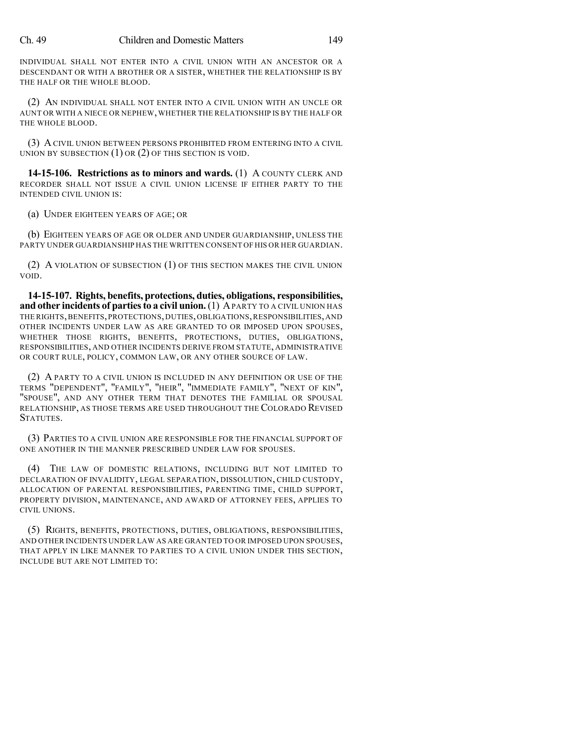### Ch. 49 Children and Domestic Matters 149

INDIVIDUAL SHALL NOT ENTER INTO A CIVIL UNION WITH AN ANCESTOR OR A DESCENDANT OR WITH A BROTHER OR A SISTER, WHETHER THE RELATIONSHIP IS BY THE HALF OR THE WHOLE BLOOD.

(2) AN INDIVIDUAL SHALL NOT ENTER INTO A CIVIL UNION WITH AN UNCLE OR AUNT OR WITH A NIECE OR NEPHEW,WHETHER THE RELATIONSHIP IS BY THE HALF OR THE WHOLE BLOOD.

(3) A CIVIL UNION BETWEEN PERSONS PROHIBITED FROM ENTERING INTO A CIVIL UNION BY SUBSECTION  $(1)$  OR  $(2)$  OF THIS SECTION IS VOID.

**14-15-106. Restrictions as to minors and wards.** (1) A COUNTY CLERK AND RECORDER SHALL NOT ISSUE A CIVIL UNION LICENSE IF EITHER PARTY TO THE INTENDED CIVIL UNION IS:

(a) UNDER EIGHTEEN YEARS OF AGE; OR

(b) EIGHTEEN YEARS OF AGE OR OLDER AND UNDER GUARDIANSHIP, UNLESS THE PARTY UNDER GUARDIANSHIP HAS THE WRITTEN CONSENT OF HIS OR HER GUARDIAN.

(2) A VIOLATION OF SUBSECTION (1) OF THIS SECTION MAKES THE CIVIL UNION VOID.

**14-15-107. Rights, benefits, protections, duties, obligations, responsibilities, and other incidents of partiesto a civil union.**(1) APARTY TO A CIVIL UNION HAS THE RIGHTS, BENEFITS, PROTECTIONS, DUTIES, OBLIGATIONS, RESPONSIBILITIES, AND OTHER INCIDENTS UNDER LAW AS ARE GRANTED TO OR IMPOSED UPON SPOUSES, WHETHER THOSE RIGHTS, BENEFITS, PROTECTIONS, DUTIES, OBLIGATIONS, RESPONSIBILITIES, AND OTHER INCIDENTS DERIVE FROM STATUTE, ADMINISTRATIVE OR COURT RULE, POLICY, COMMON LAW, OR ANY OTHER SOURCE OF LAW.

(2) A PARTY TO A CIVIL UNION IS INCLUDED IN ANY DEFINITION OR USE OF THE TERMS "DEPENDENT", "FAMILY", "HEIR", "IMMEDIATE FAMILY", "NEXT OF KIN", "SPOUSE", AND ANY OTHER TERM THAT DENOTES THE FAMILIAL OR SPOUSAL RELATIONSHIP, AS THOSE TERMS ARE USED THROUGHOUT THE COLORADO REVISED STATUTES.

(3) PARTIES TO A CIVIL UNION ARE RESPONSIBLE FOR THE FINANCIAL SUPPORT OF ONE ANOTHER IN THE MANNER PRESCRIBED UNDER LAW FOR SPOUSES.

(4) THE LAW OF DOMESTIC RELATIONS, INCLUDING BUT NOT LIMITED TO DECLARATION OF INVALIDITY, LEGAL SEPARATION, DISSOLUTION, CHILD CUSTODY, ALLOCATION OF PARENTAL RESPONSIBILITIES, PARENTING TIME, CHILD SUPPORT, PROPERTY DIVISION, MAINTENANCE, AND AWARD OF ATTORNEY FEES, APPLIES TO CIVIL UNIONS.

(5) RIGHTS, BENEFITS, PROTECTIONS, DUTIES, OBLIGATIONS, RESPONSIBILITIES, AND OTHER INCIDENTS UNDER LAW AS ARE GRANTED TO OR IMPOSED UPON SPOUSES, THAT APPLY IN LIKE MANNER TO PARTIES TO A CIVIL UNION UNDER THIS SECTION, INCLUDE BUT ARE NOT LIMITED TO: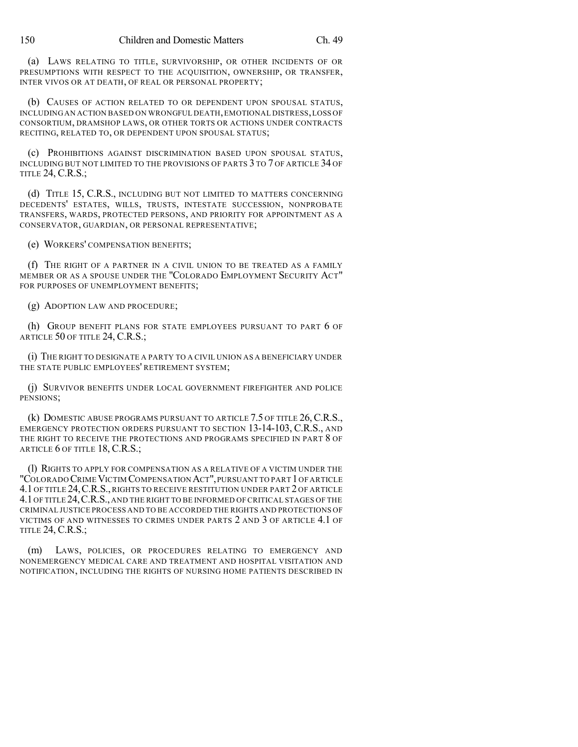(a) LAWS RELATING TO TITLE, SURVIVORSHIP, OR OTHER INCIDENTS OF OR PRESUMPTIONS WITH RESPECT TO THE ACQUISITION, OWNERSHIP, OR TRANSFER, INTER VIVOS OR AT DEATH, OF REAL OR PERSONAL PROPERTY;

(b) CAUSES OF ACTION RELATED TO OR DEPENDENT UPON SPOUSAL STATUS, INCLUDING AN ACTION BASED ON WRONGFUL DEATH,EMOTIONAL DISTRESS,LOSS OF CONSORTIUM, DRAMSHOP LAWS, OR OTHER TORTS OR ACTIONS UNDER CONTRACTS RECITING, RELATED TO, OR DEPENDENT UPON SPOUSAL STATUS;

(c) PROHIBITIONS AGAINST DISCRIMINATION BASED UPON SPOUSAL STATUS, INCLUDING BUT NOT LIMITED TO THE PROVISIONS OF PARTS 3 TO 7 OF ARTICLE 34 OF TITLE 24, C.R.S.;

(d) TITLE 15, C.R.S., INCLUDING BUT NOT LIMITED TO MATTERS CONCERNING DECEDENTS' ESTATES, WILLS, TRUSTS, INTESTATE SUCCESSION, NONPROBATE TRANSFERS, WARDS, PROTECTED PERSONS, AND PRIORITY FOR APPOINTMENT AS A CONSERVATOR, GUARDIAN, OR PERSONAL REPRESENTATIVE;

(e) WORKERS' COMPENSATION BENEFITS;

(f) THE RIGHT OF A PARTNER IN A CIVIL UNION TO BE TREATED AS A FAMILY MEMBER OR AS A SPOUSE UNDER THE "COLORADO EMPLOYMENT SECURITY ACT" FOR PURPOSES OF UNEMPLOYMENT BENEFITS;

(g) ADOPTION LAW AND PROCEDURE;

(h) GROUP BENEFIT PLANS FOR STATE EMPLOYEES PURSUANT TO PART 6 OF ARTICLE 50 OF TITLE 24, C.R.S.;

(i) THE RIGHT TO DESIGNATE A PARTY TO A CIVIL UNION AS A BENEFICIARY UNDER THE STATE PUBLIC EMPLOYEES' RETIREMENT SYSTEM;

(j) SURVIVOR BENEFITS UNDER LOCAL GOVERNMENT FIREFIGHTER AND POLICE PENSIONS;

(k) DOMESTIC ABUSE PROGRAMS PURSUANT TO ARTICLE 7.5 OF TITLE 26,C.R.S., EMERGENCY PROTECTION ORDERS PURSUANT TO SECTION 13-14-103, C.R.S., AND THE RIGHT TO RECEIVE THE PROTECTIONS AND PROGRAMS SPECIFIED IN PART 8 OF ARTICLE 6 OF TITLE 18, C.R.S.;

(l) RIGHTS TO APPLY FOR COMPENSATION AS A RELATIVE OF A VICTIM UNDER THE "COLORADO CRIME VICTIM COMPENSATION ACT", PURSUANT TO PART 1 OF ARTICLE 4.1 OF TITLE 24,C.R.S., RIGHTS TO RECEIVE RESTITUTION UNDER PART 2 OF ARTICLE 4.1OF TITLE 24,C.R.S., AND THE RIGHT TO BE INFORMED OF CRITICAL STAGES OF THE CRIMINAL JUSTICE PROCESS AND TO BE ACCORDED THE RIGHTS AND PROTECTIONS OF VICTIMS OF AND WITNESSES TO CRIMES UNDER PARTS 2 AND 3 OF ARTICLE 4.1 OF TITLE 24, C.R.S.;

(m) LAWS, POLICIES, OR PROCEDURES RELATING TO EMERGENCY AND NONEMERGENCY MEDICAL CARE AND TREATMENT AND HOSPITAL VISITATION AND NOTIFICATION, INCLUDING THE RIGHTS OF NURSING HOME PATIENTS DESCRIBED IN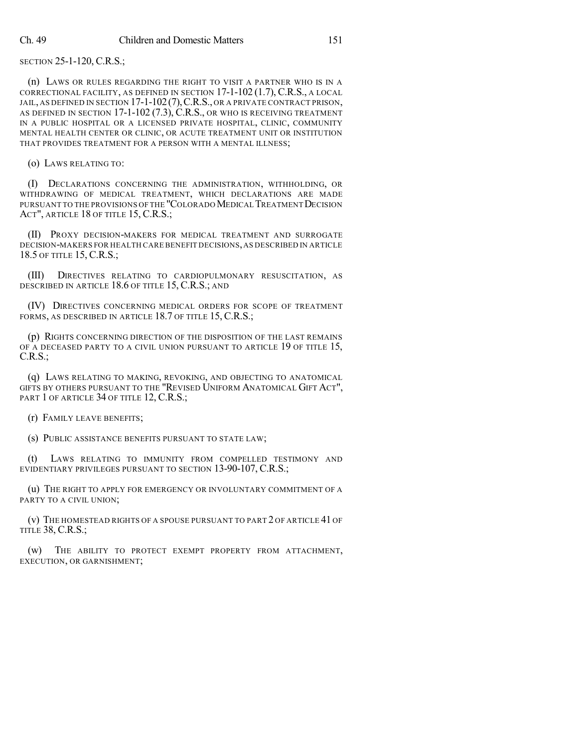SECTION 25-1-120, C.R.S.;

(n) LAWS OR RULES REGARDING THE RIGHT TO VISIT A PARTNER WHO IS IN A CORRECTIONAL FACILITY, AS DEFINED IN SECTION 17-1-102 (1.7), C.R.S., A LOCAL JAIL, AS DEFINED IN SECTION 17-1-102 (7), C.R.S., OR A PRIVATE CONTRACT PRISON, AS DEFINED IN SECTION 17-1-102 (7.3), C.R.S., OR WHO IS RECEIVING TREATMENT IN A PUBLIC HOSPITAL OR A LICENSED PRIVATE HOSPITAL, CLINIC, COMMUNITY MENTAL HEALTH CENTER OR CLINIC, OR ACUTE TREATMENT UNIT OR INSTITUTION THAT PROVIDES TREATMENT FOR A PERSON WITH A MENTAL ILLNESS;

(o) LAWS RELATING TO:

(I) DECLARATIONS CONCERNING THE ADMINISTRATION, WITHHOLDING, OR WITHDRAWING OF MEDICAL TREATMENT, WHICH DECLARATIONS ARE MADE PURSUANT TO THE PROVISIONS OF THE "COLORADOMEDICAL TREATMENT DECISION ACT", ARTICLE 18 OF TITLE 15, C.R.S.;

(II) PROXY DECISION-MAKERS FOR MEDICAL TREATMENT AND SURROGATE DECISION-MAKERS FOR HEALTH CARE BENEFIT DECISIONS,AS DESCRIBED IN ARTICLE 18.5 OF TITLE 15, C.R.S.;

(III) DIRECTIVES RELATING TO CARDIOPULMONARY RESUSCITATION, AS DESCRIBED IN ARTICLE 18.6 OF TITLE 15, C.R.S.; AND

(IV) DIRECTIVES CONCERNING MEDICAL ORDERS FOR SCOPE OF TREATMENT FORMS, AS DESCRIBED IN ARTICLE 18.7 OF TITLE 15, C.R.S.;

(p) RIGHTS CONCERNING DIRECTION OF THE DISPOSITION OF THE LAST REMAINS OF A DECEASED PARTY TO A CIVIL UNION PURSUANT TO ARTICLE 19 OF TITLE 15, C.R.S.;

(q) LAWS RELATING TO MAKING, REVOKING, AND OBJECTING TO ANATOMICAL GIFTS BY OTHERS PURSUANT TO THE "REVISED UNIFORM ANATOMICAL GIFT ACT", PART 1 OF ARTICLE 34 OF TITLE 12, C.R.S.;

(r) FAMILY LEAVE BENEFITS;

(s) PUBLIC ASSISTANCE BENEFITS PURSUANT TO STATE LAW;

(t) LAWS RELATING TO IMMUNITY FROM COMPELLED TESTIMONY AND EVIDENTIARY PRIVILEGES PURSUANT TO SECTION 13-90-107, C.R.S.;

(u) THE RIGHT TO APPLY FOR EMERGENCY OR INVOLUNTARY COMMITMENT OF A PARTY TO A CIVIL UNION;

(v) THE HOMESTEAD RIGHTS OF A SPOUSE PURSUANT TO PART 2 OF ARTICLE 41 OF TITLE 38, C.R.S.;

(w) THE ABILITY TO PROTECT EXEMPT PROPERTY FROM ATTACHMENT, EXECUTION, OR GARNISHMENT;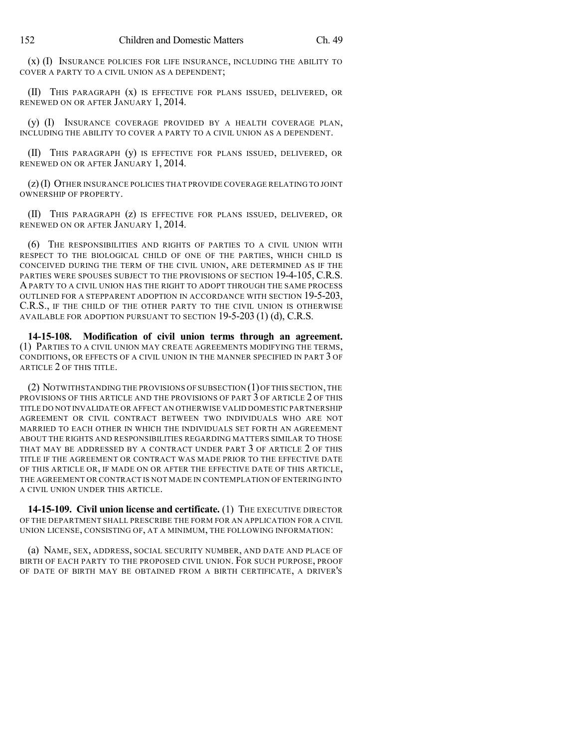(x) (I) INSURANCE POLICIES FOR LIFE INSURANCE, INCLUDING THE ABILITY TO COVER A PARTY TO A CIVIL UNION AS A DEPENDENT;

(II) THIS PARAGRAPH (x) IS EFFECTIVE FOR PLANS ISSUED, DELIVERED, OR RENEWED ON OR AFTER JANUARY 1, 2014.

(y) (I) INSURANCE COVERAGE PROVIDED BY A HEALTH COVERAGE PLAN, INCLUDING THE ABILITY TO COVER A PARTY TO A CIVIL UNION AS A DEPENDENT.

(II) THIS PARAGRAPH (y) IS EFFECTIVE FOR PLANS ISSUED, DELIVERED, OR RENEWED ON OR AFTER JANUARY 1, 2014.

(z)(I) OTHER INSURANCE POLICIES THAT PROVIDE COVERAGE RELATING TO JOINT OWNERSHIP OF PROPERTY.

(II) THIS PARAGRAPH (z) IS EFFECTIVE FOR PLANS ISSUED, DELIVERED, OR RENEWED ON OR AFTER JANUARY 1, 2014.

(6) THE RESPONSIBILITIES AND RIGHTS OF PARTIES TO A CIVIL UNION WITH RESPECT TO THE BIOLOGICAL CHILD OF ONE OF THE PARTIES, WHICH CHILD IS CONCEIVED DURING THE TERM OF THE CIVIL UNION, ARE DETERMINED AS IF THE PARTIES WERE SPOUSES SUBJECT TO THE PROVISIONS OF SECTION 19-4-105, C.R.S. APARTY TO A CIVIL UNION HAS THE RIGHT TO ADOPT THROUGH THE SAME PROCESS OUTLINED FOR A STEPPARENT ADOPTION IN ACCORDANCE WITH SECTION 19-5-203, C.R.S., IF THE CHILD OF THE OTHER PARTY TO THE CIVIL UNION IS OTHERWISE AVAILABLE FOR ADOPTION PURSUANT TO SECTION 19-5-203 (1) (d), C.R.S.

**14-15-108. Modification of civil union terms through an agreement.** (1) PARTIES TO A CIVIL UNION MAY CREATE AGREEMENTS MODIFYING THE TERMS, CONDITIONS, OR EFFECTS OF A CIVIL UNION IN THE MANNER SPECIFIED IN PART 3 OF ARTICLE 2 OF THIS TITLE.

(2) NOTWITHSTANDING THE PROVISIONS OF SUBSECTION (1)OF THIS SECTION,THE PROVISIONS OF THIS ARTICLE AND THE PROVISIONS OF PART 3 OF ARTICLE 2 OF THIS TITLE DO NOT INVALIDATE OR AFFECT AN OTHERWISE VALID DOMESTIC PARTNERSHIP AGREEMENT OR CIVIL CONTRACT BETWEEN TWO INDIVIDUALS WHO ARE NOT MARRIED TO EACH OTHER IN WHICH THE INDIVIDUALS SET FORTH AN AGREEMENT ABOUT THE RIGHTS AND RESPONSIBILITIES REGARDING MATTERS SIMILAR TO THOSE THAT MAY BE ADDRESSED BY A CONTRACT UNDER PART 3 OF ARTICLE 2 OF THIS TITLE IF THE AGREEMENT OR CONTRACT WAS MADE PRIOR TO THE EFFECTIVE DATE OF THIS ARTICLE OR, IF MADE ON OR AFTER THE EFFECTIVE DATE OF THIS ARTICLE, THE AGREEMENT OR CONTRACT IS NOT MADE IN CONTEMPLATION OF ENTERING INTO A CIVIL UNION UNDER THIS ARTICLE.

**14-15-109. Civil union license and certificate.** (1) THE EXECUTIVE DIRECTOR OF THE DEPARTMENT SHALL PRESCRIBE THE FORM FOR AN APPLICATION FOR A CIVIL UNION LICENSE, CONSISTING OF, AT A MINIMUM, THE FOLLOWING INFORMATION:

(a) NAME, SEX, ADDRESS, SOCIAL SECURITY NUMBER, AND DATE AND PLACE OF BIRTH OF EACH PARTY TO THE PROPOSED CIVIL UNION. FOR SUCH PURPOSE, PROOF OF DATE OF BIRTH MAY BE OBTAINED FROM A BIRTH CERTIFICATE, A DRIVER'S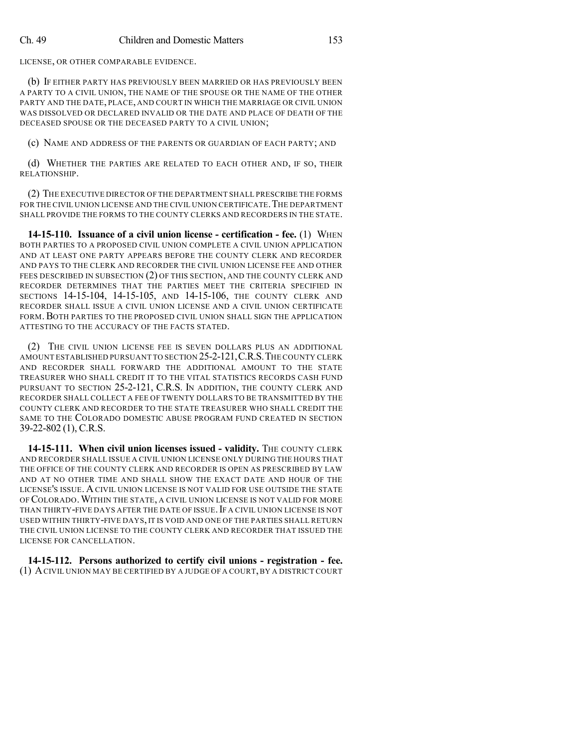LICENSE, OR OTHER COMPARABLE EVIDENCE.

(b) IF EITHER PARTY HAS PREVIOUSLY BEEN MARRIED OR HAS PREVIOUSLY BEEN A PARTY TO A CIVIL UNION, THE NAME OF THE SPOUSE OR THE NAME OF THE OTHER PARTY AND THE DATE, PLACE, AND COURT IN WHICH THE MARRIAGE OR CIVIL UNION WAS DISSOLVED OR DECLARED INVALID OR THE DATE AND PLACE OF DEATH OF THE DECEASED SPOUSE OR THE DECEASED PARTY TO A CIVIL UNION;

(c) NAME AND ADDRESS OF THE PARENTS OR GUARDIAN OF EACH PARTY; AND

(d) WHETHER THE PARTIES ARE RELATED TO EACH OTHER AND, IF SO, THEIR RELATIONSHIP.

(2) THE EXECUTIVE DIRECTOR OF THE DEPARTMENT SHALL PRESCRIBE THE FORMS FOR THE CIVIL UNION LICENSE AND THE CIVIL UNION CERTIFICATE. THE DEPARTMENT SHALL PROVIDE THE FORMS TO THE COUNTY CLERKS AND RECORDERS IN THE STATE.

**14-15-110. Issuance of a civil union license - certification - fee.** (1) WHEN BOTH PARTIES TO A PROPOSED CIVIL UNION COMPLETE A CIVIL UNION APPLICATION AND AT LEAST ONE PARTY APPEARS BEFORE THE COUNTY CLERK AND RECORDER AND PAYS TO THE CLERK AND RECORDER THE CIVIL UNION LICENSE FEE AND OTHER FEES DESCRIBED IN SUBSECTION (2) OF THIS SECTION, AND THE COUNTY CLERK AND RECORDER DETERMINES THAT THE PARTIES MEET THE CRITERIA SPECIFIED IN SECTIONS 14-15-104, 14-15-105, AND 14-15-106, THE COUNTY CLERK AND RECORDER SHALL ISSUE A CIVIL UNION LICENSE AND A CIVIL UNION CERTIFICATE FORM.BOTH PARTIES TO THE PROPOSED CIVIL UNION SHALL SIGN THE APPLICATION ATTESTING TO THE ACCURACY OF THE FACTS STATED.

(2) THE CIVIL UNION LICENSE FEE IS SEVEN DOLLARS PLUS AN ADDITIONAL AMOUNT ESTABLISHED PURSUANT TO SECTION 25-2-121,C.R.S.THE COUNTY CLERK AND RECORDER SHALL FORWARD THE ADDITIONAL AMOUNT TO THE STATE TREASURER WHO SHALL CREDIT IT TO THE VITAL STATISTICS RECORDS CASH FUND PURSUANT TO SECTION 25-2-121, C.R.S. IN ADDITION, THE COUNTY CLERK AND RECORDER SHALL COLLECT A FEE OF TWENTY DOLLARS TO BE TRANSMITTED BY THE COUNTY CLERK AND RECORDER TO THE STATE TREASURER WHO SHALL CREDIT THE SAME TO THE COLORADO DOMESTIC ABUSE PROGRAM FUND CREATED IN SECTION 39-22-802 (1), C.R.S.

**14-15-111. When civil union licenses issued - validity.** THE COUNTY CLERK AND RECORDER SHALL ISSUE A CIVIL UNION LICENSE ONLY DURING THE HOURS THAT THE OFFICE OF THE COUNTY CLERK AND RECORDER IS OPEN AS PRESCRIBED BY LAW AND AT NO OTHER TIME AND SHALL SHOW THE EXACT DATE AND HOUR OF THE LICENSE'S ISSUE. ACIVIL UNION LICENSE IS NOT VALID FOR USE OUTSIDE THE STATE OF COLORADO.WITHIN THE STATE, A CIVIL UNION LICENSE IS NOT VALID FOR MORE THAN THIRTY-FIVE DAYS AFTER THE DATE OF ISSUE. IF A CIVIL UNION LICENSE IS NOT USED WITHIN THIRTY-FIVE DAYS, IT IS VOID AND ONE OF THE PARTIES SHALL RETURN THE CIVIL UNION LICENSE TO THE COUNTY CLERK AND RECORDER THAT ISSUED THE LICENSE FOR CANCELLATION.

**14-15-112. Persons authorized to certify civil unions - registration - fee.** (1) ACIVIL UNION MAY BE CERTIFIED BY A JUDGE OF A COURT,BY A DISTRICT COURT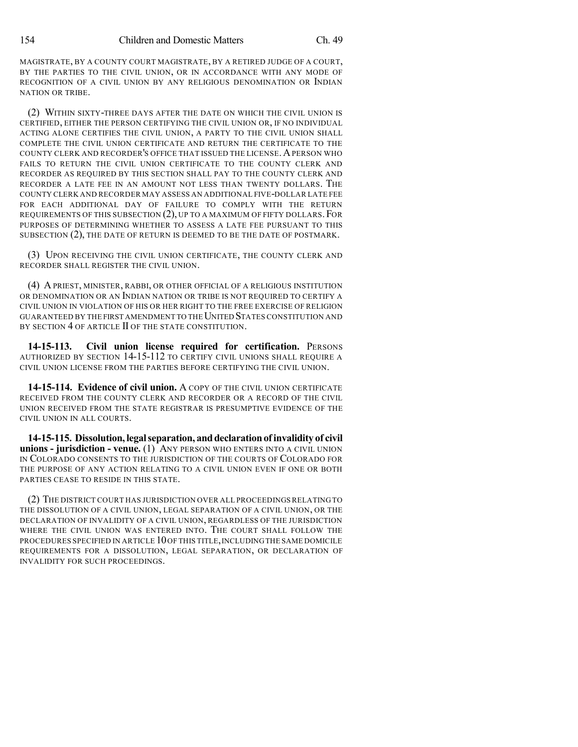MAGISTRATE, BY A COUNTY COURT MAGISTRATE, BY A RETIRED JUDGE OF A COURT, BY THE PARTIES TO THE CIVIL UNION, OR IN ACCORDANCE WITH ANY MODE OF RECOGNITION OF A CIVIL UNION BY ANY RELIGIOUS DENOMINATION OR INDIAN NATION OR TRIBE.

(2) WITHIN SIXTY-THREE DAYS AFTER THE DATE ON WHICH THE CIVIL UNION IS CERTIFIED, EITHER THE PERSON CERTIFYING THE CIVIL UNION OR, IF NO INDIVIDUAL ACTING ALONE CERTIFIES THE CIVIL UNION, A PARTY TO THE CIVIL UNION SHALL COMPLETE THE CIVIL UNION CERTIFICATE AND RETURN THE CERTIFICATE TO THE COUNTY CLERK AND RECORDER'S OFFICE THAT ISSUED THE LICENSE. A PERSON WHO FAILS TO RETURN THE CIVIL UNION CERTIFICATE TO THE COUNTY CLERK AND RECORDER AS REQUIRED BY THIS SECTION SHALL PAY TO THE COUNTY CLERK AND RECORDER A LATE FEE IN AN AMOUNT NOT LESS THAN TWENTY DOLLARS. THE COUNTY CLERK AND RECORDER MAY ASSESS AN ADDITIONAL FIVE-DOLLAR LATE FEE FOR EACH ADDITIONAL DAY OF FAILURE TO COMPLY WITH THE RETURN REQUIREMENTS OF THIS SUBSECTION (2), UP TO A MAXIMUM OF FIFTY DOLLARS.FOR PURPOSES OF DETERMINING WHETHER TO ASSESS A LATE FEE PURSUANT TO THIS SUBSECTION (2), THE DATE OF RETURN IS DEEMED TO BE THE DATE OF POSTMARK.

(3) UPON RECEIVING THE CIVIL UNION CERTIFICATE, THE COUNTY CLERK AND RECORDER SHALL REGISTER THE CIVIL UNION.

(4) A PRIEST, MINISTER, RABBI, OR OTHER OFFICIAL OF A RELIGIOUS INSTITUTION OR DENOMINATION OR AN INDIAN NATION OR TRIBE IS NOT REQUIRED TO CERTIFY A CIVIL UNION IN VIOLATION OF HIS OR HER RIGHT TO THE FREE EXERCISE OF RELIGION GUARANTEED BY THE FIRST AMENDMENT TO THE UNITED STATES CONSTITUTION AND BY SECTION 4 OF ARTICLE II OF THE STATE CONSTITUTION.

**14-15-113. Civil union license required for certification.** PERSONS AUTHORIZED BY SECTION 14-15-112 TO CERTIFY CIVIL UNIONS SHALL REQUIRE A CIVIL UNION LICENSE FROM THE PARTIES BEFORE CERTIFYING THE CIVIL UNION.

**14-15-114. Evidence of civil union.** A COPY OF THE CIVIL UNION CERTIFICATE RECEIVED FROM THE COUNTY CLERK AND RECORDER OR A RECORD OF THE CIVIL UNION RECEIVED FROM THE STATE REGISTRAR IS PRESUMPTIVE EVIDENCE OF THE CIVIL UNION IN ALL COURTS.

**14-15-115. Dissolution,legalseparation, anddeclarationof invalidity of civil unions - jurisdiction - venue.** (1) ANY PERSON WHO ENTERS INTO A CIVIL UNION IN COLORADO CONSENTS TO THE JURISDICTION OF THE COURTS OF COLORADO FOR THE PURPOSE OF ANY ACTION RELATING TO A CIVIL UNION EVEN IF ONE OR BOTH PARTIES CEASE TO RESIDE IN THIS STATE.

(2) THE DISTRICT COURT HAS JURISDICTION OVER ALL PROCEEDINGS RELATING TO THE DISSOLUTION OF A CIVIL UNION, LEGAL SEPARATION OF A CIVIL UNION, OR THE DECLARATION OF INVALIDITY OF A CIVIL UNION, REGARDLESS OF THE JURISDICTION WHERE THE CIVIL UNION WAS ENTERED INTO. THE COURT SHALL FOLLOW THE PROCEDURES SPECIFIED IN ARTICLE 10OF THIS TITLE,INCLUDINGTHE SAME DOMICILE REQUIREMENTS FOR A DISSOLUTION, LEGAL SEPARATION, OR DECLARATION OF INVALIDITY FOR SUCH PROCEEDINGS.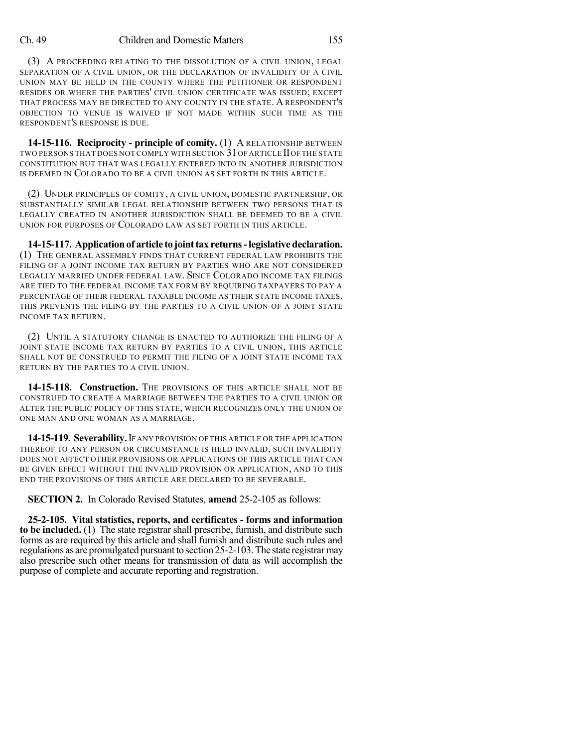### Ch. 49 Children and Domestic Matters 155

(3) A PROCEEDING RELATING TO THE DISSOLUTION OF A CIVIL UNION, LEGAL SEPARATION OF A CIVIL UNION, OR THE DECLARATION OF INVALIDITY OF A CIVIL UNION MAY BE HELD IN THE COUNTY WHERE THE PETITIONER OR RESPONDENT RESIDES OR WHERE THE PARTIES' CIVIL UNION CERTIFICATE WAS ISSUED; EXCEPT THAT PROCESS MAY BE DIRECTED TO ANY COUNTY IN THE STATE. A RESPONDENT'S OBJECTION TO VENUE IS WAIVED IF NOT MADE WITHIN SUCH TIME AS THE RESPONDENT'S RESPONSE IS DUE.

**14-15-116. Reciprocity - principle of comity.** (1) A RELATIONSHIP BETWEEN TWO PERSONS THAT DOES NOT COMPLY WITH SECTION 31OF ARTICLE IIOF THE STATE CONSTITUTION BUT THAT WAS LEGALLY ENTERED INTO IN ANOTHER JURISDICTION IS DEEMED IN COLORADO TO BE A CIVIL UNION AS SET FORTH IN THIS ARTICLE.

(2) UNDER PRINCIPLES OF COMITY, A CIVIL UNION, DOMESTIC PARTNERSHIP, OR SUBSTANTIALLY SIMILAR LEGAL RELATIONSHIP BETWEEN TWO PERSONS THAT IS LEGALLY CREATED IN ANOTHER JURISDICTION SHALL BE DEEMED TO BE A CIVIL UNION FOR PURPOSES OF COLORADO LAW AS SET FORTH IN THIS ARTICLE.

**14-15-117. Applicationof article to jointtax returns-legislative declaration.** (1) THE GENERAL ASSEMBLY FINDS THAT CURRENT FEDERAL LAW PROHIBITS THE FILING OF A JOINT INCOME TAX RETURN BY PARTIES WHO ARE NOT CONSIDERED LEGALLY MARRIED UNDER FEDERAL LAW. SINCE COLORADO INCOME TAX FILINGS ARE TIED TO THE FEDERAL INCOME TAX FORM BY REQUIRING TAXPAYERS TO PAY A PERCENTAGE OF THEIR FEDERAL TAXABLE INCOME AS THEIR STATE INCOME TAXES, THIS PREVENTS THE FILING BY THE PARTIES TO A CIVIL UNION OF A JOINT STATE INCOME TAX RETURN.

(2) UNTIL A STATUTORY CHANGE IS ENACTED TO AUTHORIZE THE FILING OF A JOINT STATE INCOME TAX RETURN BY PARTIES TO A CIVIL UNION, THIS ARTICLE SHALL NOT BE CONSTRUED TO PERMIT THE FILING OF A JOINT STATE INCOME TAX RETURN BY THE PARTIES TO A CIVIL UNION.

14-15-118. Construction. The provisions of this article shall not be CONSTRUED TO CREATE A MARRIAGE BETWEEN THE PARTIES TO A CIVIL UNION OR ALTER THE PUBLIC POLICY OF THIS STATE, WHICH RECOGNIZES ONLY THE UNION OF ONE MAN AND ONE WOMAN AS A MARRIAGE.

**14-15-119. Severability.**IF ANY PROVISION OF THIS ARTICLE OR THE APPLICATION THEREOF TO ANY PERSON OR CIRCUMSTANCE IS HELD INVALID, SUCH INVALIDITY DOES NOT AFFECT OTHER PROVISIONS OR APPLICATIONS OF THIS ARTICLE THAT CAN BE GIVEN EFFECT WITHOUT THE INVALID PROVISION OR APPLICATION, AND TO THIS END THE PROVISIONS OF THIS ARTICLE ARE DECLARED TO BE SEVERABLE.

**SECTION 2.** In Colorado Revised Statutes, **amend** 25-2-105 as follows:

**25-2-105. Vital statistics, reports, and certificates - forms and information to be included.** (1) The state registrar shall prescribe, furnish, and distribute such forms as are required by this article and shall furnish and distribute such rules and regulations as are promulgated pursuant to section 25-2-103. The state registrarmay also prescribe such other means for transmission of data as will accomplish the purpose of complete and accurate reporting and registration.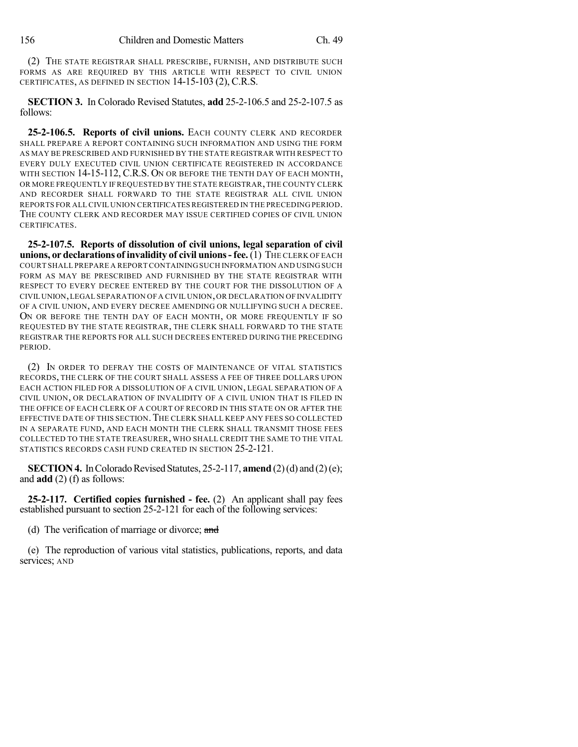(2) THE STATE REGISTRAR SHALL PRESCRIBE, FURNISH, AND DISTRIBUTE SUCH FORMS AS ARE REQUIRED BY THIS ARTICLE WITH RESPECT TO CIVIL UNION CERTIFICATES, AS DEFINED IN SECTION 14-15-103 (2), C.R.S.

**SECTION 3.** In Colorado Revised Statutes, **add** 25-2-106.5 and 25-2-107.5 as follows:

**25-2-106.5. Reports of civil unions.** EACH COUNTY CLERK AND RECORDER SHALL PREPARE A REPORT CONTAINING SUCH INFORMATION AND USING THE FORM AS MAY BE PRESCRIBED AND FURNISHED BY THE STATE REGISTRAR WITH RESPECT TO EVERY DULY EXECUTED CIVIL UNION CERTIFICATE REGISTERED IN ACCORDANCE WITH SECTION 14-15-112, C.R.S. ON OR BEFORE THE TENTH DAY OF EACH MONTH, OR MORE FREQUENTLY IF REQUESTED BY THE STATE REGISTRAR,THE COUNTY CLERK AND RECORDER SHALL FORWARD TO THE STATE REGISTRAR ALL CIVIL UNION REPORTS FOR ALL CIVIL UNION CERTIFICATESREGISTERED IN THE PRECEDING PERIOD. THE COUNTY CLERK AND RECORDER MAY ISSUE CERTIFIED COPIES OF CIVIL UNION CERTIFICATES.

**25-2-107.5. Reports of dissolution of civil unions, legal separation of civil unions, or declarations of invalidity of civil unions - fee. (1) THE CLERK OF EACH** COURT SHALL PREPARE A REPORT CONTAINING SUCH INFORMATION AND USING SUCH FORM AS MAY BE PRESCRIBED AND FURNISHED BY THE STATE REGISTRAR WITH RESPECT TO EVERY DECREE ENTERED BY THE COURT FOR THE DISSOLUTION OF A CIVIL UNION,LEGAL SEPARATION OF A CIVIL UNION,OR DECLARATION OF INVALIDITY OF A CIVIL UNION, AND EVERY DECREE AMENDING OR NULLIFYING SUCH A DECREE. ON OR BEFORE THE TENTH DAY OF EACH MONTH, OR MORE FREQUENTLY IF SO REQUESTED BY THE STATE REGISTRAR, THE CLERK SHALL FORWARD TO THE STATE REGISTRAR THE REPORTS FOR ALL SUCH DECREES ENTERED DURING THE PRECEDING PERIOD.

(2) IN ORDER TO DEFRAY THE COSTS OF MAINTENANCE OF VITAL STATISTICS RECORDS, THE CLERK OF THE COURT SHALL ASSESS A FEE OF THREE DOLLARS UPON EACH ACTION FILED FOR A DISSOLUTION OF A CIVIL UNION, LEGAL SEPARATION OF A CIVIL UNION, OR DECLARATION OF INVALIDITY OF A CIVIL UNION THAT IS FILED IN THE OFFICE OF EACH CLERK OF A COURT OF RECORD IN THIS STATE ON OR AFTER THE EFFECTIVE DATE OF THIS SECTION.THE CLERK SHALL KEEP ANY FEES SO COLLECTED IN A SEPARATE FUND, AND EACH MONTH THE CLERK SHALL TRANSMIT THOSE FEES COLLECTED TO THE STATE TREASURER, WHO SHALL CREDIT THE SAME TO THE VITAL STATISTICS RECORDS CASH FUND CREATED IN SECTION 25-2-121.

**SECTION 4.** In Colorado Revised Statutes, 25-2-117, **amend** (2)(d) and (2)(e); and **add** (2) (f) as follows:

**25-2-117. Certified copies furnished - fee.** (2) An applicant shall pay fees established pursuant to section 25-2-121 for each of the following services:

(d) The verification of marriage or divorce; and

(e) The reproduction of various vital statistics, publications, reports, and data services; AND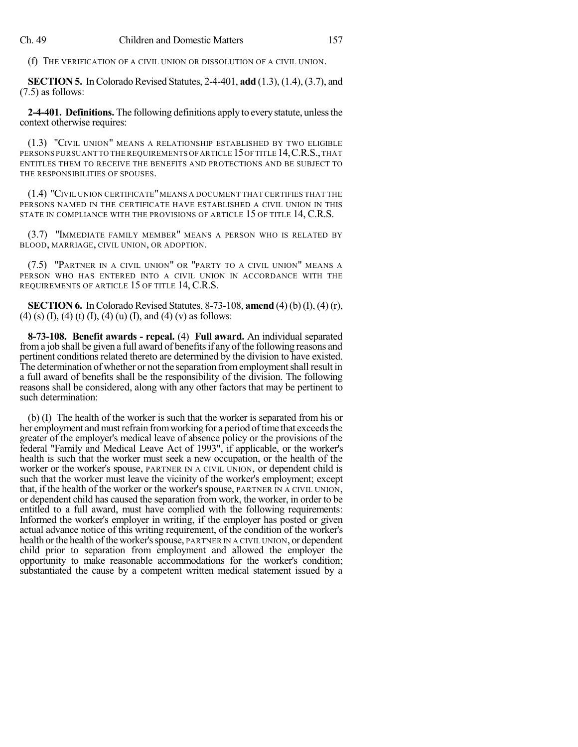(f) THE VERIFICATION OF A CIVIL UNION OR DISSOLUTION OF A CIVIL UNION.

**SECTION 5.** In Colorado Revised Statutes, 2-4-401, **add** (1.3), (1.4), (3.7), and (7.5) as follows:

**2-4-401. Definitions.** The following definitions apply to every statute, unless the context otherwise requires:

(1.3) "CIVIL UNION" MEANS A RELATIONSHIP ESTABLISHED BY TWO ELIGIBLE PERSONS PURSUANT TO THE REQUIREMENTS OF ARTICLE 15 OF TITLE 14, C.R.S., THAT ENTITLES THEM TO RECEIVE THE BENEFITS AND PROTECTIONS AND BE SUBJECT TO THE RESPONSIBILITIES OF SPOUSES.

(1.4) "CIVIL UNION CERTIFICATE"MEANS A DOCUMENT THAT CERTIFIES THAT THE PERSONS NAMED IN THE CERTIFICATE HAVE ESTABLISHED A CIVIL UNION IN THIS STATE IN COMPLIANCE WITH THE PROVISIONS OF ARTICLE 15 OF TITLE 14, C.R.S.

(3.7) "IMMEDIATE FAMILY MEMBER" MEANS A PERSON WHO IS RELATED BY BLOOD, MARRIAGE, CIVIL UNION, OR ADOPTION.

(7.5) "PARTNER IN A CIVIL UNION" OR "PARTY TO A CIVIL UNION" MEANS A PERSON WHO HAS ENTERED INTO A CIVIL UNION IN ACCORDANCE WITH THE REQUIREMENTS OF ARTICLE 15 OF TITLE 14, C.R.S.

**SECTION 6.** InColorado Revised Statutes, 8-73-108, **amend** (4) (b)(I), (4) (r), (4) (s) (I), (4) (t) (I), (4) (u) (I), and (4) (v) as follows:

**8-73-108. Benefit awards - repeal.** (4) **Full award.** An individual separated from a job shall be given a full award of benefits if any of the following reasons and pertinent conditions related thereto are determined by the division to have existed. The determination of whether or not the separation from employment shall result in a full award of benefits shall be the responsibility of the division. The following reasons shall be considered, along with any other factors that may be pertinent to such determination:

(b) (I) The health of the worker is such that the worker is separated from his or her employment and must refrain from working for a period of time that exceeds the greater of the employer's medical leave of absence policy or the provisions of the federal "Family and Medical Leave Act of 1993", if applicable, or the worker's health is such that the worker must seek a new occupation, or the health of the worker or the worker's spouse, PARTNER IN A CIVIL UNION, or dependent child is such that the worker must leave the vicinity of the worker's employment; except that, if the health of the worker or the worker's spouse, PARTNER IN A CIVIL UNION, or dependent child has caused the separation from work, the worker, in order to be entitled to a full award, must have complied with the following requirements: Informed the worker's employer in writing, if the employer has posted or given actual advance notice of this writing requirement, of the condition of the worker's health or the health of the worker's spouse, PARTNER IN A CIVIL UNION, or dependent child prior to separation from employment and allowed the employer the opportunity to make reasonable accommodations for the worker's condition; substantiated the cause by a competent written medical statement issued by a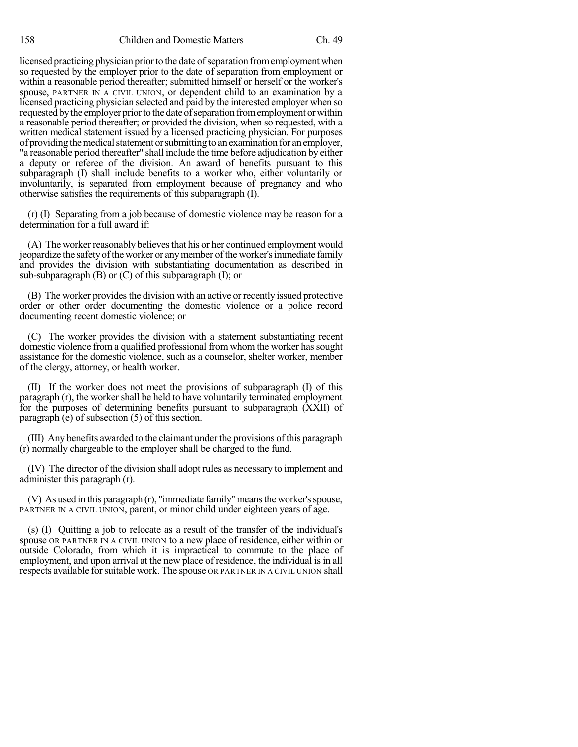licensed practicing physician prior to the date of separation from employment when so requested by the employer prior to the date of separation from employment or within a reasonable period thereafter; submitted himself or herself or the worker's spouse, PARTNER IN A CIVIL UNION, or dependent child to an examination by a licensed practicing physician selected and paid by the interested employer when so requested by the employer prior to the date of separation from employment or within a reasonable period thereafter; or provided the division, when so requested, with a written medical statement issued by a licensed practicing physician. For purposes of providing the medical statement or submitting to an examination for an employer, "a reasonable period thereafter" shall include the time before adjudication by either a deputy or referee of the division. An award of benefits pursuant to this subparagraph (I) shall include benefits to a worker who, either voluntarily or involuntarily, is separated from employment because of pregnancy and who otherwise satisfies the requirements of this subparagraph (I).

(r) (I) Separating from a job because of domestic violence may be reason for a determination for a full award if:

(A) The worker reasonably believes that his or her continued employment would jeopardize the safety of the worker or any member of the worker's immediate family and provides the division with substantiating documentation as described in sub-subparagraph (B) or (C) of this subparagraph (I); or

(B) The worker provides the division with an active or recently issued protective order or other order documenting the domestic violence or a police record documenting recent domestic violence; or

(C) The worker provides the division with a statement substantiating recent domestic violence from a qualified professional from whom the worker has sought assistance for the domestic violence, such as a counselor, shelter worker, member of the clergy, attorney, or health worker.

(II) If the worker does not meet the provisions of subparagraph (I) of this paragraph (r), the worker shall be held to have voluntarily terminated employment for the purposes of determining benefits pursuant to subparagraph (XXII) of paragraph (e) of subsection (5) of this section.

(III) Any benefits awarded to the claimant under the provisions of this paragraph (r) normally chargeable to the employer shall be charged to the fund.

(IV) The director of the division shall adopt rules as necessary to implement and administer this paragraph (r).

(V) As used in this paragraph (r), "immediate family"meansthe worker'sspouse, PARTNER IN A CIVIL UNION, parent, or minor child under eighteen years of age.

(s) (I) Quitting a job to relocate as a result of the transfer of the individual's spouse OR PARTNER IN A CIVIL UNION to a new place of residence, either within or outside Colorado, from which it is impractical to commute to the place of employment, and upon arrival at the new place of residence, the individual is in all respects available for suitable work. The spouse OR PARTNER IN A CIVIL UNION shall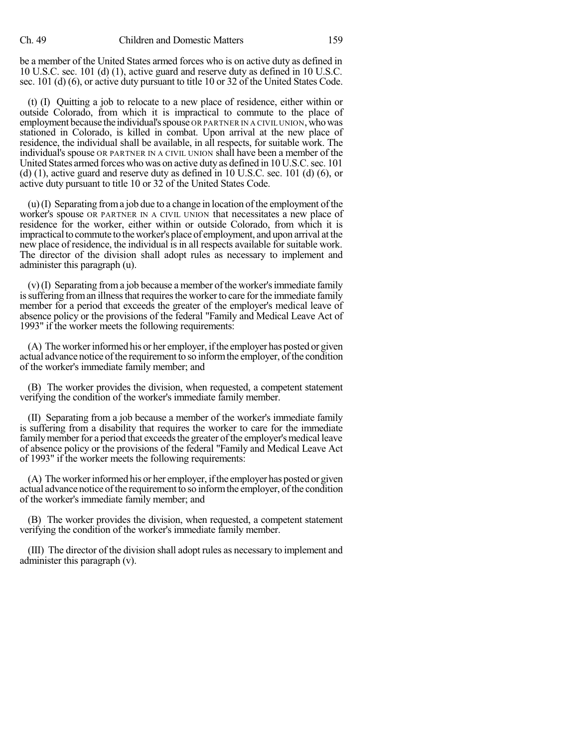be a member of the United States armed forces who is on active duty as defined in 10 U.S.C. sec. 101 (d) (1), active guard and reserve duty as defined in 10 U.S.C. sec. 101 (d) (6), or active duty pursuant to title 10 or 32 of the United States Code.

(t) (I) Quitting a job to relocate to a new place of residence, either within or outside Colorado, from which it is impractical to commute to the place of employment because the individual's spouse OR PARTNER IN A CIVIL UNION, who was stationed in Colorado, is killed in combat. Upon arrival at the new place of residence, the individual shall be available, in all respects, for suitable work. The individual's spouse OR PARTNER IN A CIVIL UNION shall have been a member of the United States armed forces who was on active duty as defined in 10 U.S.C.sec. 101 (d) (1), active guard and reserve duty as defined in 10 U.S.C. sec. 101 (d) (6), or active duty pursuant to title 10 or 32 of the United States Code.

 $(u)$  (I) Separating from a job due to a change in location of the employment of the worker's spouse OR PARTNER IN A CIVIL UNION that necessitates a new place of residence for the worker, either within or outside Colorado, from which it is impractical to commute to the worker's place of employment, and upon arrival at the new place of residence, the individual is in all respects available for suitable work. The director of the division shall adopt rules as necessary to implement and administer this paragraph (u).

 $(v)$  (I) Separating from a job because a member of the worker's immediate family is suffering from an illness that requires the worker to care for the immediate family member for a period that exceeds the greater of the employer's medical leave of absence policy or the provisions of the federal "Family and Medical Leave Act of 1993" if the worker meets the following requirements:

(A) The worker informed his or her employer, if the employer has posted or given actual advance notice of the requirement to so inform the employer, of the condition of the worker's immediate family member; and

(B) The worker provides the division, when requested, a competent statement verifying the condition of the worker's immediate family member.

(II) Separating from a job because a member of the worker's immediate family is suffering from a disability that requires the worker to care for the immediate family member for a period that exceeds the greater of the employer's medical leave of absence policy or the provisions of the federal "Family and Medical Leave Act of 1993" if the worker meets the following requirements:

(A) The worker informed his or her employer, if the employer has posted or given actual advance notice of the requirement to so inform the employer, of the condition of the worker's immediate family member; and

(B) The worker provides the division, when requested, a competent statement verifying the condition of the worker's immediate family member.

(III) The director of the division shall adopt rules as necessary to implement and administer this paragraph (v).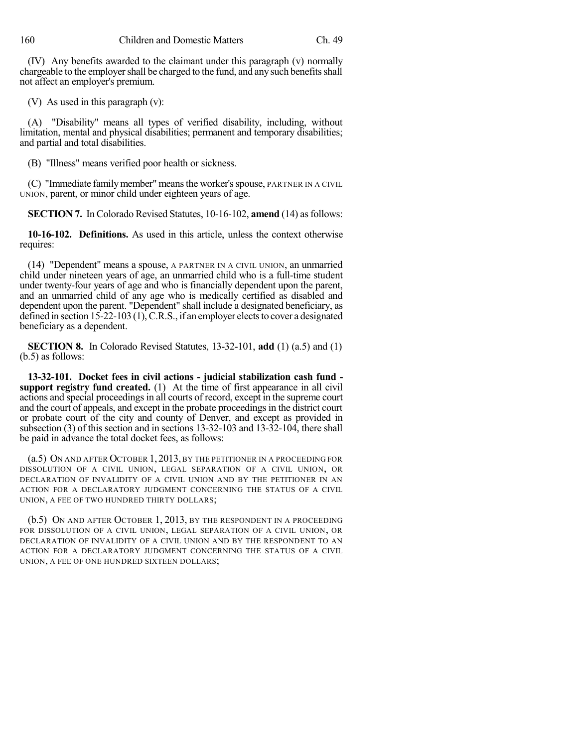(IV) Any benefits awarded to the claimant under this paragraph (v) normally chargeable to the employer shall be charged to the fund, and any such benefits shall not affect an employer's premium.

(V) As used in this paragraph (v):

(A) "Disability" means all types of verified disability, including, without limitation, mental and physical disabilities; permanent and temporary disabilities; and partial and total disabilities.

(B) "Illness" means verified poor health or sickness.

(C) "Immediate familymember" meansthe worker'sspouse, PARTNER IN A CIVIL UNION, parent, or minor child under eighteen years of age.

**SECTION 7.** In Colorado Revised Statutes, 10-16-102, **amend** (14) as follows:

**10-16-102. Definitions.** As used in this article, unless the context otherwise requires:

(14) "Dependent" means a spouse, A PARTNER IN A CIVIL UNION, an unmarried child under nineteen years of age, an unmarried child who is a full-time student under twenty-four years of age and who is financially dependent upon the parent, and an unmarried child of any age who is medically certified as disabled and dependent upon the parent. "Dependent" shall include a designated beneficiary, as defined in section  $15$ -22-103 (1), C.R.S., if an employer elects to cover a designated beneficiary as a dependent.

**SECTION 8.** In Colorado Revised Statutes, 13-32-101, **add** (1) (a.5) and (1) (b.5) as follows:

**13-32-101. Docket fees in civil actions - judicial stabilization cash fund support registry fund created.** (1) At the time of first appearance in all civil actions and special proceedings in all courts of record, except in the supreme court and the court of appeals, and except in the probate proceedings in the district court or probate court of the city and county of Denver, and except as provided in subsection (3) of this section and in sections 13-32-103 and 13-32-104, there shall be paid in advance the total docket fees, as follows:

(a.5) ON AND AFTER OCTOBER 1, 2013, BY THE PETITIONER IN A PROCEEDING FOR DISSOLUTION OF A CIVIL UNION, LEGAL SEPARATION OF A CIVIL UNION, OR DECLARATION OF INVALIDITY OF A CIVIL UNION AND BY THE PETITIONER IN AN ACTION FOR A DECLARATORY JUDGMENT CONCERNING THE STATUS OF A CIVIL UNION, A FEE OF TWO HUNDRED THIRTY DOLLARS;

(b.5) ON AND AFTER OCTOBER 1, 2013, BY THE RESPONDENT IN A PROCEEDING FOR DISSOLUTION OF A CIVIL UNION, LEGAL SEPARATION OF A CIVIL UNION, OR DECLARATION OF INVALIDITY OF A CIVIL UNION AND BY THE RESPONDENT TO AN ACTION FOR A DECLARATORY JUDGMENT CONCERNING THE STATUS OF A CIVIL UNION, A FEE OF ONE HUNDRED SIXTEEN DOLLARS;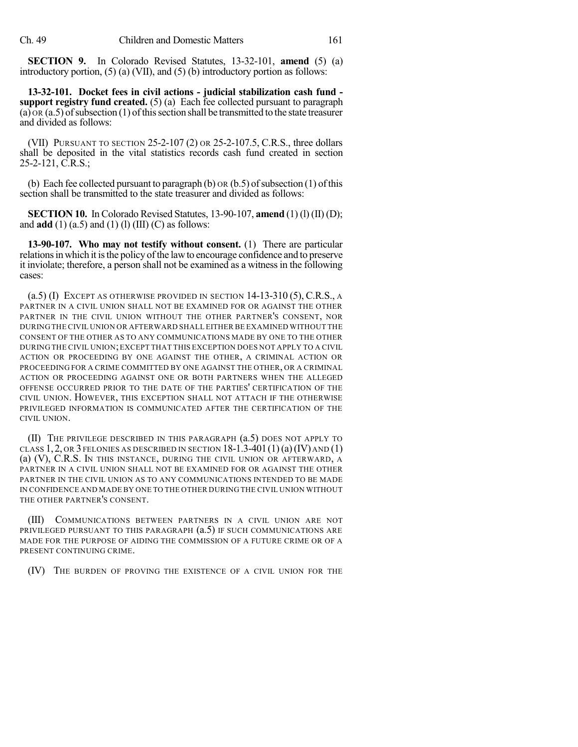**SECTION 9.** In Colorado Revised Statutes, 13-32-101, **amend** (5) (a) introductory portion, (5) (a) (VII), and (5) (b) introductory portion as follows:

**13-32-101. Docket fees in civil actions - judicial stabilization cash fund support registry fund created.** (5) (a) Each fee collected pursuant to paragraph  $(a)$  OR  $(a, 5)$  of subsection  $(1)$  of this section shall be transmitted to the state treasurer and divided as follows:

(VII) PURSUANT TO SECTION 25-2-107 (2) OR 25-2-107.5, C.R.S., three dollars shall be deposited in the vital statistics records cash fund created in section  $25-2-121$ , C.R.S.;

(b) Each fee collected pursuant to paragraph (b)  $\alpha$  (b.5) of subsection (1) of this section shall be transmitted to the state treasurer and divided as follows:

**SECTION 10.** In Colorado Revised Statutes, 13-90-107, **amend** (1) (l) (II) (D); and  $\text{add}(1)$  (a.5) and (1) (l) (III) (C) as follows:

**13-90-107. Who may not testify without consent.** (1) There are particular relations in which it is the policy of the law to encourage confidence and to preserve it inviolate; therefore, a person shall not be examined as a witnessin the following cases:

 $($ a.5 $)$  (I) Except as otherwise provided in section 14-13-310 (5), C.R.S., a PARTNER IN A CIVIL UNION SHALL NOT BE EXAMINED FOR OR AGAINST THE OTHER PARTNER IN THE CIVIL UNION WITHOUT THE OTHER PARTNER'S CONSENT, NOR DURING THE CIVIL UNION OR AFTERWARD SHALL EITHER BE EXAMINED WITHOUT THE CONSENT OF THE OTHER AS TO ANY COMMUNICATIONS MADE BY ONE TO THE OTHER DURING THE CIVIL UNION;EXCEPT THAT THIS EXCEPTION DOES NOT APPLY TO A CIVIL ACTION OR PROCEEDING BY ONE AGAINST THE OTHER, A CRIMINAL ACTION OR PROCEEDING FOR A CRIME COMMITTED BY ONE AGAINST THE OTHER, OR A CRIMINAL ACTION OR PROCEEDING AGAINST ONE OR BOTH PARTNERS WHEN THE ALLEGED OFFENSE OCCURRED PRIOR TO THE DATE OF THE PARTIES' CERTIFICATION OF THE CIVIL UNION. HOWEVER, THIS EXCEPTION SHALL NOT ATTACH IF THE OTHERWISE PRIVILEGED INFORMATION IS COMMUNICATED AFTER THE CERTIFICATION OF THE CIVIL UNION.

(II) THE PRIVILEGE DESCRIBED IN THIS PARAGRAPH (a.5) DOES NOT APPLY TO CLASS  $1, 2$ , OR 3 FELONIES AS DESCRIBED IN SECTION  $18-1.3-401(1)(a)(IV)$  AND  $(1)$ (a) (V), C.R.S. IN THIS INSTANCE, DURING THE CIVIL UNION OR AFTERWARD, A PARTNER IN A CIVIL UNION SHALL NOT BE EXAMINED FOR OR AGAINST THE OTHER PARTNER IN THE CIVIL UNION AS TO ANY COMMUNICATIONS INTENDED TO BE MADE IN CONFIDENCE AND MADE BY ONE TO THE OTHER DURING THE CIVIL UNION WITHOUT THE OTHER PARTNER'S CONSENT.

(III) COMMUNICATIONS BETWEEN PARTNERS IN A CIVIL UNION ARE NOT PRIVILEGED PURSUANT TO THIS PARAGRAPH (a.5) IF SUCH COMMUNICATIONS ARE MADE FOR THE PURPOSE OF AIDING THE COMMISSION OF A FUTURE CRIME OR OF A PRESENT CONTINUING CRIME.

(IV) THE BURDEN OF PROVING THE EXISTENCE OF A CIVIL UNION FOR THE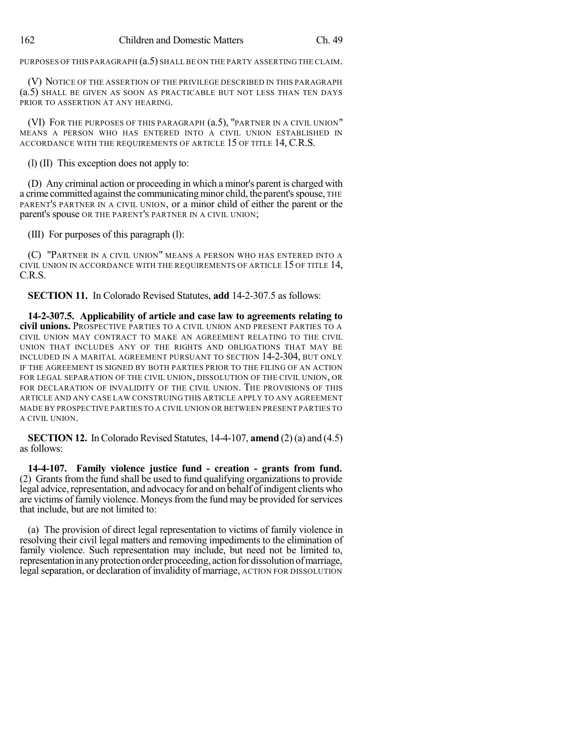PURPOSES OF THIS PARAGRAPH  $(a.5)$  SHALL BE ON THE PARTY ASSERTING THE CLAIM.

(V) NOTICE OF THE ASSERTION OF THE PRIVILEGE DESCRIBED IN THIS PARAGRAPH (a.5) SHALL BE GIVEN AS SOON AS PRACTICABLE BUT NOT LESS THAN TEN DAYS PRIOR TO ASSERTION AT ANY HEARING.

(VI) FOR THE PURPOSES OF THIS PARAGRAPH (a.5), "PARTNER IN A CIVIL UNION" MEANS A PERSON WHO HAS ENTERED INTO A CIVIL UNION ESTABLISHED IN ACCORDANCE WITH THE REQUIREMENTS OF ARTICLE 15 OF TITLE 14, C.R.S.

(l) (II) This exception does not apply to:

(D) Any criminal action or proceeding in which a minor's parent is charged with a crime committed against the communicating minor child, the parent's spouse, THE PARENT'S PARTNER IN A CIVIL UNION, or a minor child of either the parent or the parent's spouse OR THE PARENT'S PARTNER IN A CIVIL UNION;

(III) For purposes of this paragraph (l):

(C) "PARTNER IN A CIVIL UNION" MEANS A PERSON WHO HAS ENTERED INTO A CIVIL UNION IN ACCORDANCE WITH THE REQUIREMENTS OF ARTICLE 15 OF TITLE 14, C.R.S.

**SECTION 11.** In Colorado Revised Statutes, **add** 14-2-307.5 as follows:

**14-2-307.5. Applicability of article and case law to agreements relating to civil unions.** PROSPECTIVE PARTIES TO A CIVIL UNION AND PRESENT PARTIES TO A CIVIL UNION MAY CONTRACT TO MAKE AN AGREEMENT RELATING TO THE CIVIL UNION THAT INCLUDES ANY OF THE RIGHTS AND OBLIGATIONS THAT MAY BE INCLUDED IN A MARITAL AGREEMENT PURSUANT TO SECTION 14-2-304, BUT ONLY IF THE AGREEMENT IS SIGNED BY BOTH PARTIES PRIOR TO THE FILING OF AN ACTION FOR LEGAL SEPARATION OF THE CIVIL UNION, DISSOLUTION OF THE CIVIL UNION, OR FOR DECLARATION OF INVALIDITY OF THE CIVIL UNION. THE PROVISIONS OF THIS ARTICLE AND ANY CASE LAW CONSTRUING THIS ARTICLE APPLY TO ANY AGREEMENT MADE BY PROSPECTIVE PARTIES TO A CIVIL UNION OR BETWEEN PRESENT PARTIES TO A CIVIL UNION.

**SECTION 12.** In Colorado Revised Statutes, 14-4-107, **amend** (2) (a) and (4.5) as follows:

**14-4-107. Family violence justice fund - creation - grants from fund.** (2) Grants from the fund shall be used to fund qualifying organizations to provide legal advice, representation, and advocacy for and on behalf of indigent clients who are victims of family violence. Moneys from the fund may be provided for services that include, but are not limited to:

(a) The provision of direct legal representation to victims of family violence in resolving their civil legal matters and removing impediments to the elimination of family violence. Such representation may include, but need not be limited to, representation in any protection order proceeding, action for dissolution of marriage, legal separation, or declaration of invalidity of marriage, ACTION FOR DISSOLUTION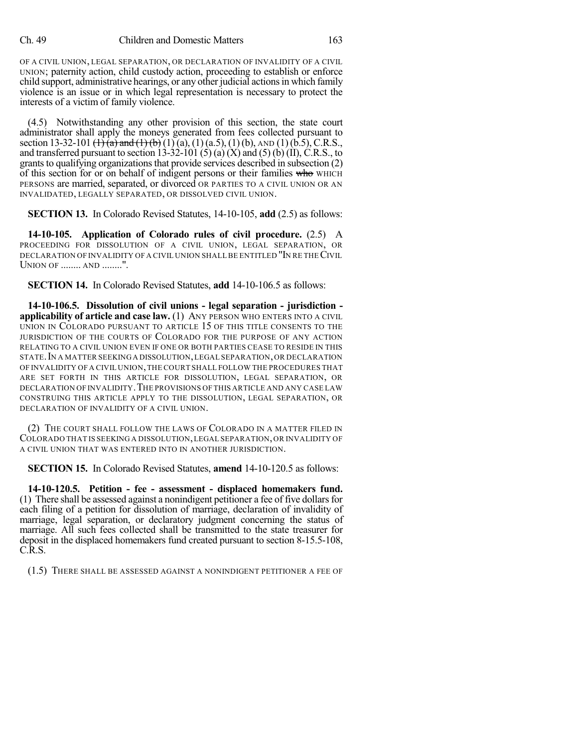OF A CIVIL UNION, LEGAL SEPARATION, OR DECLARATION OF INVALIDITY OF A CIVIL UNION; paternity action, child custody action, proceeding to establish or enforce child support, administrative hearings, or any other judicial actionsin which family violence is an issue or in which legal representation is necessary to protect the interests of a victim of family violence.

(4.5) Notwithstanding any other provision of this section, the state court administrator shall apply the moneys generated from fees collected pursuant to section 13-32-101  $\left(\frac{1}{1}\right)\left(a\right)$  and  $\left(\frac{1}{1}\right)\left(b\right)$  (1) (a), (1) (a.5), (1) (b), AND (1) (b.5), C.R.S., and transferred pursuant to section 13-32-101 (5) (a)  $(X)$  and (5) (b) (II), C.R.S., to grants to qualifying organizations that provide services described in subsection  $(2)$ of this section for or on behalf of indigent persons or their families who WHICH PERSONS are married, separated, or divorced OR PARTIES TO A CIVIL UNION OR AN INVALIDATED, LEGALLY SEPARATED, OR DISSOLVED CIVIL UNION.

**SECTION 13.** In Colorado Revised Statutes, 14-10-105, **add** (2.5) as follows:

**14-10-105. Application of Colorado rules of civil procedure.** (2.5) A PROCEEDING FOR DISSOLUTION OF A CIVIL UNION, LEGAL SEPARATION, OR DECLARATION OF INVALIDITY OF A CIVIL UNION SHALLBE ENTITLED "IN RE THECIVIL UNION OF ........ AND ........".

**SECTION 14.** In Colorado Revised Statutes, **add** 14-10-106.5 as follows:

**14-10-106.5. Dissolution of civil unions - legal separation - jurisdiction applicability of article and case law.** (1) ANY PERSON WHO ENTERS INTO A CIVIL UNION IN COLORADO PURSUANT TO ARTICLE 15 OF THIS TITLE CONSENTS TO THE JURISDICTION OF THE COURTS OF COLORADO FOR THE PURPOSE OF ANY ACTION RELATING TO A CIVIL UNION EVEN IF ONE OR BOTH PARTIES CEASE TO RESIDE IN THIS STATE. IN A MATTER SEEKING A DISSOLUTION, LEGAL SEPARATION, OR DECLARATION OF INVALIDITY OF A CIVIL UNION,THE COURT SHALL FOLLOW THE PROCEDURES THAT ARE SET FORTH IN THIS ARTICLE FOR DISSOLUTION, LEGAL SEPARATION, OR DECLARATION OF INVALIDITY. THE PROVISIONS OF THIS ARTICLE AND ANY CASE LAW CONSTRUING THIS ARTICLE APPLY TO THE DISSOLUTION, LEGAL SEPARATION, OR DECLARATION OF INVALIDITY OF A CIVIL UNION.

(2) THE COURT SHALL FOLLOW THE LAWS OF COLORADO IN A MATTER FILED IN COLORADO THAT IS SEEKING A DISSOLUTION,LEGAL SEPARATION,OR INVALIDITY OF A CIVIL UNION THAT WAS ENTERED INTO IN ANOTHER JURISDICTION.

**SECTION 15.** In Colorado Revised Statutes, **amend** 14-10-120.5 as follows:

**14-10-120.5. Petition - fee - assessment - displaced homemakers fund.** (1) There shall be assessed against a nonindigent petitioner a fee of five dollarsfor each filing of a petition for dissolution of marriage, declaration of invalidity of marriage, legal separation, or declaratory judgment concerning the status of marriage. All such fees collected shall be transmitted to the state treasurer for deposit in the displaced homemakers fund created pursuant to section 8-15.5-108, C.R.S.

(1.5) THERE SHALL BE ASSESSED AGAINST A NONINDIGENT PETITIONER A FEE OF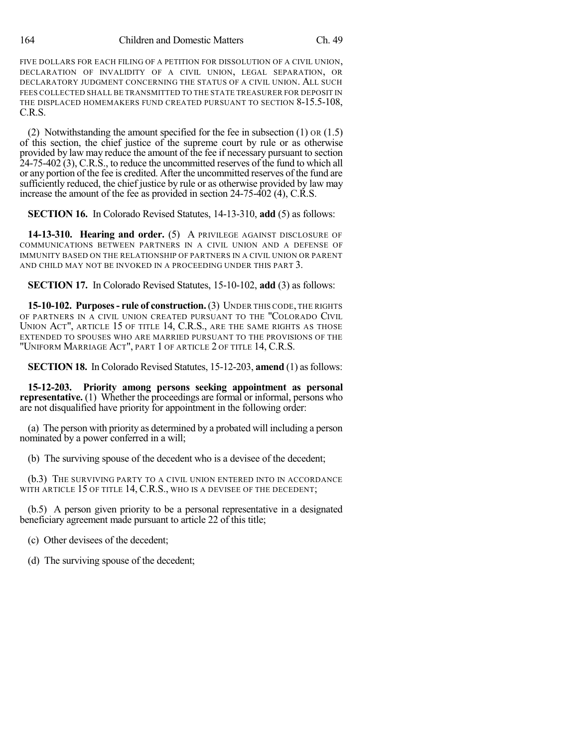FIVE DOLLARS FOR EACH FILING OF A PETITION FOR DISSOLUTION OF A CIVIL UNION, DECLARATION OF INVALIDITY OF A CIVIL UNION, LEGAL SEPARATION, OR DECLARATORY JUDGMENT CONCERNING THE STATUS OF A CIVIL UNION. ALL SUCH FEES COLLECTED SHALL BE TRANSMITTED TO THE STATE TREASURER FOR DEPOSIT IN THE DISPLACED HOMEMAKERS FUND CREATED PURSUANT TO SECTION 8-15.5-108, C.R.S.

(2) Notwithstanding the amount specified for the fee in subsection (1) OR (1.5) of this section, the chief justice of the supreme court by rule or as otherwise provided by law may reduce the amount of the fee if necessary pursuant to section 24-75-402 (3), C.R.S., to reduce the uncommitted reserves of the fund to which all or any portion of the fee is credited. After the uncommitted reserves of the fund are sufficiently reduced, the chief justice by rule or as otherwise provided by law may increase the amount of the fee as provided in section 24-75-402 (4), C.R.S.

**SECTION 16.** In Colorado Revised Statutes, 14-13-310, **add** (5) as follows:

**14-13-310. Hearing and order.** (5) A PRIVILEGE AGAINST DISCLOSURE OF COMMUNICATIONS BETWEEN PARTNERS IN A CIVIL UNION AND A DEFENSE OF IMMUNITY BASED ON THE RELATIONSHIP OF PARTNERS IN A CIVIL UNION OR PARENT AND CHILD MAY NOT BE INVOKED IN A PROCEEDING UNDER THIS PART 3.

**SECTION 17.** In Colorado Revised Statutes, 15-10-102, **add** (3) as follows:

**15-10-102. Purposes- rule of construction.**(3) UNDER THIS CODE, THE RIGHTS OF PARTNERS IN A CIVIL UNION CREATED PURSUANT TO THE "COLORADO CIVIL UNION ACT", ARTICLE 15 OF TITLE 14, C.R.S., ARE THE SAME RIGHTS AS THOSE EXTENDED TO SPOUSES WHO ARE MARRIED PURSUANT TO THE PROVISIONS OF THE "UNIFORM MARRIAGE ACT", PART 1 OF ARTICLE 2 OF TITLE 14, C.R.S.

**SECTION 18.** In Colorado Revised Statutes, 15-12-203, **amend** (1) as follows:

**15-12-203. Priority among persons seeking appointment as personal representative.** (1) Whether the proceedings are formal or informal, persons who are not disqualified have priority for appointment in the following order:

(a) The person with priority as determined by a probated will including a person nominated by a power conferred in a will;

(b) The surviving spouse of the decedent who is a devisee of the decedent;

(b.3) THE SURVIVING PARTY TO A CIVIL UNION ENTERED INTO IN ACCORDANCE WITH ARTICLE 15 OF TITLE 14, C.R.S., WHO IS A DEVISEE OF THE DECEDENT;

(b.5) A person given priority to be a personal representative in a designated beneficiary agreement made pursuant to article 22 of this title;

(c) Other devisees of the decedent;

(d) The surviving spouse of the decedent;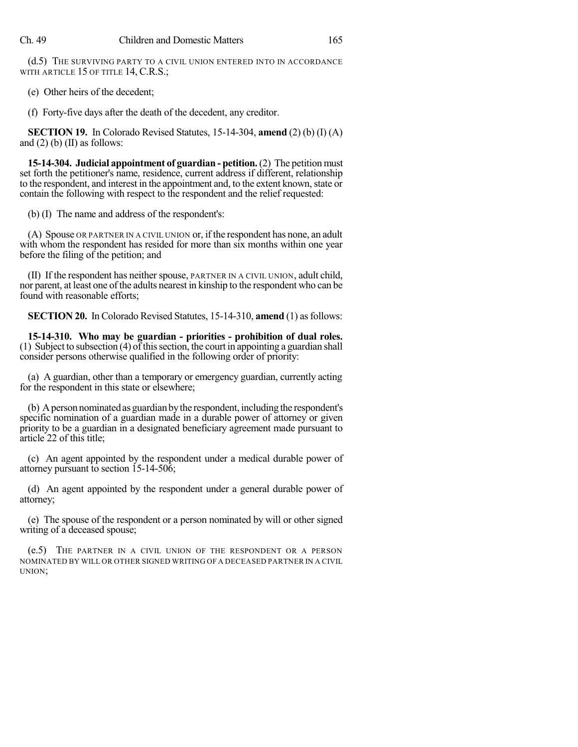(d.5) THE SURVIVING PARTY TO A CIVIL UNION ENTERED INTO IN ACCORDANCE WITH ARTICLE 15 OF TITLE 14, C.R.S.;

(e) Other heirs of the decedent;

(f) Forty-five days after the death of the decedent, any creditor.

**SECTION 19.** In Colorado Revised Statutes, 15-14-304, **amend** (2) (b) (I) (A) and  $(2)$  (b)  $(II)$  as follows:

**15-14-304. Judicial appointment of guardian - petition.**(2) The petition must set forth the petitioner's name, residence, current address if different, relationship to the respondent, and interest in the appointment and, to the extent known, state or contain the following with respect to the respondent and the relief requested:

(b) (I) The name and address of the respondent's:

(A) Spouse OR PARTNER IN A CIVIL UNION or, if the respondent has none, an adult with whom the respondent has resided for more than six months within one year before the filing of the petition; and

(II) If the respondent has neither spouse, PARTNER IN A CIVIL UNION, adult child, nor parent, at least one of the adults nearest in kinship to the respondent who can be found with reasonable efforts;

**SECTION 20.** In Colorado Revised Statutes, 15-14-310, **amend** (1) as follows:

**15-14-310. Who may be guardian - priorities - prohibition of dual roles.**  $(1)$  Subject to subsection  $(4)$  of this section, the court in appointing a guardian shall consider persons otherwise qualified in the following order of priority:

(a) A guardian, other than a temporary or emergency guardian, currently acting for the respondent in this state or elsewhere;

(b) Apersonnominatedas guardian bythe respondent, including the respondent's specific nomination of a guardian made in a durable power of attorney or given priority to be a guardian in a designated beneficiary agreement made pursuant to article 22 of this title;

(c) An agent appointed by the respondent under a medical durable power of attorney pursuant to section 15-14-506;

(d) An agent appointed by the respondent under a general durable power of attorney;

(e) The spouse of the respondent or a person nominated by will or other signed writing of a deceased spouse;

(e.5) THE PARTNER IN A CIVIL UNION OF THE RESPONDENT OR A PERSON NOMINATED BY WILL OR OTHER SIGNED WRITING OF A DECEASED PARTNER IN A CIVIL UNION;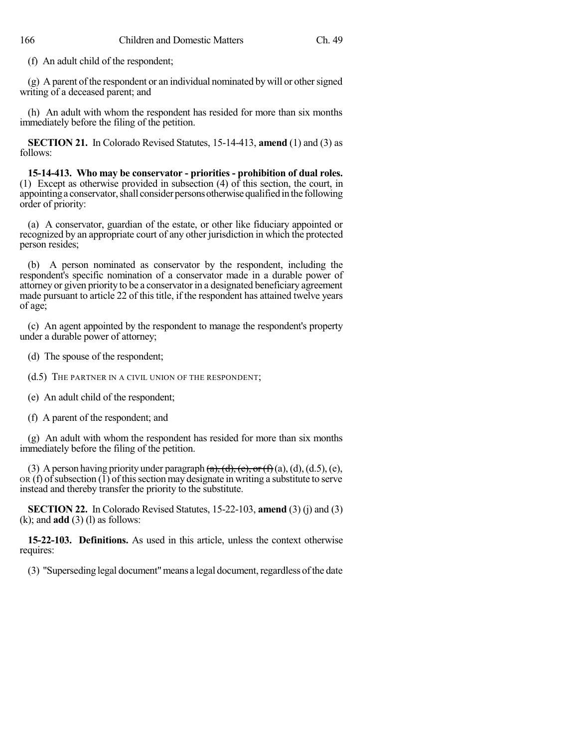(f) An adult child of the respondent;

 $(g)$  A parent of the respondent or an individual nominated by will or other signed writing of a deceased parent; and

(h) An adult with whom the respondent has resided for more than six months immediately before the filing of the petition.

**SECTION 21.** In Colorado Revised Statutes, 15-14-413, **amend** (1) and (3) as follows:

**15-14-413. Who may be conservator - priorities - prohibition of dual roles.** (1) Except as otherwise provided in subsection (4) of this section, the court, in appointing a conservator, shall consider persons otherwise qualified in the following order of priority:

(a) A conservator, guardian of the estate, or other like fiduciary appointed or recognized by an appropriate court of any other jurisdiction in which the protected person resides;

(b) A person nominated as conservator by the respondent, including the respondent's specific nomination of a conservator made in a durable power of attorney or given priority to be a conservator in a designated beneficiary agreement made pursuant to article 22 of this title, if the respondent has attained twelve years of age;

(c) An agent appointed by the respondent to manage the respondent's property under a durable power of attorney;

(d) The spouse of the respondent;

(d.5) THE PARTNER IN A CIVIL UNION OF THE RESPONDENT;

(e) An adult child of the respondent;

(f) A parent of the respondent; and

(g) An adult with whom the respondent has resided for more than six months immediately before the filing of the petition.

(3) A person having priority under paragraph  $(a)$ ,  $(d)$ ,  $(e)$ , or $(f)$  $(a)$ ,  $(d)$ ,  $(d.5)$ ,  $(e)$ ,  $OR(f)$  of subsection  $\overline{(1)}$  of this section may designate in writing a substitute to serve instead and thereby transfer the priority to the substitute.

**SECTION 22.** In Colorado Revised Statutes, 15-22-103, **amend** (3) (j) and (3) (k); and **add** (3) (l) as follows:

**15-22-103. Definitions.** As used in this article, unless the context otherwise requires:

(3) "Superseding legal document"means a legal document,regardless ofthe date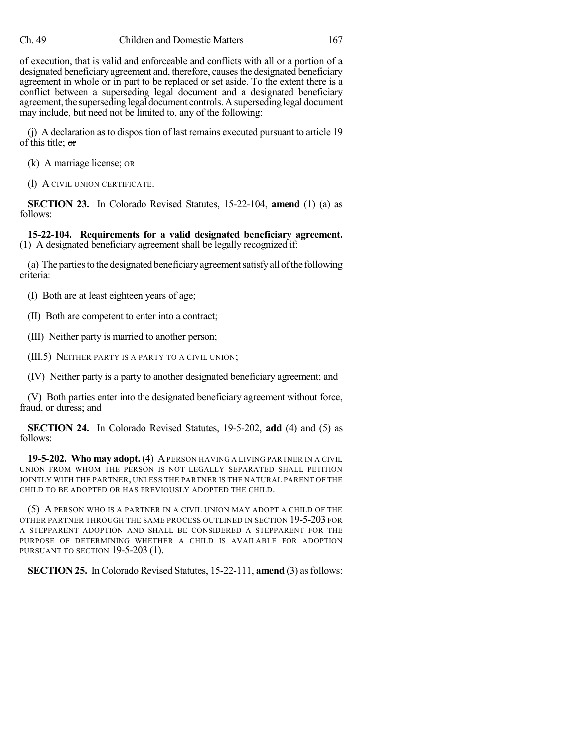of execution, that is valid and enforceable and conflicts with all or a portion of a designated beneficiary agreement and, therefore, causes the designated beneficiary agreement in whole or in part to be replaced or set aside. To the extent there is a conflict between a superseding legal document and a designated beneficiary agreement, the superseding legal document controls.Asuperseding legal document may include, but need not be limited to, any of the following:

(j) A declaration asto disposition of last remains executed pursuant to article 19 of this title; or

(k) A marriage license; OR

(l) A CIVIL UNION CERTIFICATE.

**SECTION 23.** In Colorado Revised Statutes, 15-22-104, **amend** (1) (a) as follows:

**15-22-104. Requirements for a valid designated beneficiary agreement.** (1) A designated beneficiary agreement shall be legally recognized if:

(a) The partiesto the designated beneficiaryagreementsatisfyall ofthe following criteria:

(I) Both are at least eighteen years of age;

(II) Both are competent to enter into a contract;

(III) Neither party is married to another person;

(III.5) NEITHER PARTY IS A PARTY TO A CIVIL UNION;

(IV) Neither party is a party to another designated beneficiary agreement; and

(V) Both parties enter into the designated beneficiary agreement without force, fraud, or duress; and

**SECTION 24.** In Colorado Revised Statutes, 19-5-202, **add** (4) and (5) as follows:

**19-5-202. Who may adopt.** (4) APERSON HAVING A LIVING PARTNER IN A CIVIL UNION FROM WHOM THE PERSON IS NOT LEGALLY SEPARATED SHALL PETITION JOINTLY WITH THE PARTNER, UNLESS THE PARTNER IS THE NATURAL PARENT OF THE CHILD TO BE ADOPTED OR HAS PREVIOUSLY ADOPTED THE CHILD.

(5) A PERSON WHO IS A PARTNER IN A CIVIL UNION MAY ADOPT A CHILD OF THE OTHER PARTNER THROUGH THE SAME PROCESS OUTLINED IN SECTION 19-5-203 FOR A STEPPARENT ADOPTION AND SHALL BE CONSIDERED A STEPPARENT FOR THE PURPOSE OF DETERMINING WHETHER A CHILD IS AVAILABLE FOR ADOPTION PURSUANT TO SECTION 19-5-203 (1).

**SECTION 25.** In Colorado Revised Statutes, 15-22-111, **amend** (3) as follows: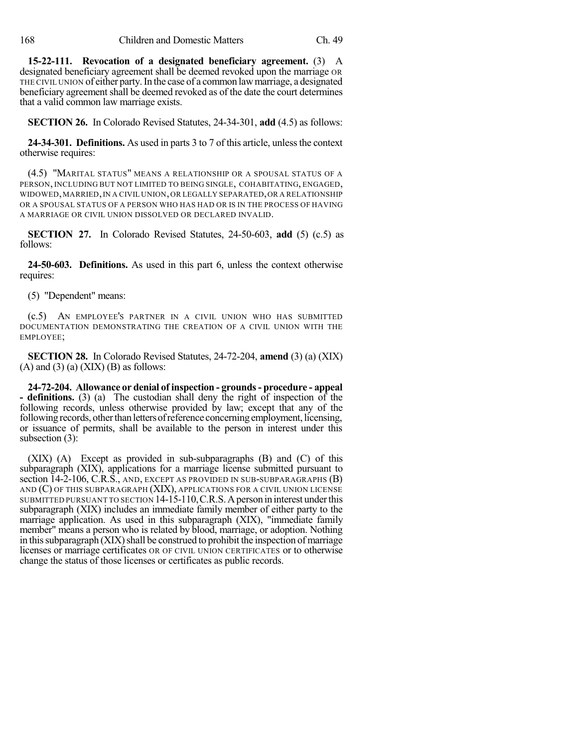**15-22-111. Revocation of a designated beneficiary agreement.** (3) A designated beneficiary agreement shall be deemed revoked upon the marriage OR THE CIVIL UNION of either party.In the case of a common lawmarriage, a designated beneficiary agreement shall be deemed revoked as of the date the court determines that a valid common law marriage exists.

**SECTION 26.** In Colorado Revised Statutes, 24-34-301, **add** (4.5) as follows:

**24-34-301. Definitions.** As used in parts 3 to 7 of this article, unless the context otherwise requires:

(4.5) "MARITAL STATUS" MEANS A RELATIONSHIP OR A SPOUSAL STATUS OF A PERSON, INCLUDING BUT NOT LIMITED TO BEING SINGLE, COHABITATING, ENGAGED, WIDOWED,MARRIED,IN A CIVIL UNION,OR LEGALLY SEPARATED,OR A RELATIONSHIP OR A SPOUSAL STATUS OF A PERSON WHO HAS HAD OR IS IN THE PROCESS OF HAVING A MARRIAGE OR CIVIL UNION DISSOLVED OR DECLARED INVALID.

**SECTION 27.** In Colorado Revised Statutes, 24-50-603, **add** (5) (c.5) as follows:

**24-50-603. Definitions.** As used in this part 6, unless the context otherwise requires:

(5) "Dependent" means:

(c.5) AN EMPLOYEE'S PARTNER IN A CIVIL UNION WHO HAS SUBMITTED DOCUMENTATION DEMONSTRATING THE CREATION OF A CIVIL UNION WITH THE EMPLOYEE;

**SECTION 28.** In Colorado Revised Statutes, 24-72-204, **amend** (3) (a) (XIX)  $(A)$  and  $(3)$   $(a)$   $(XIX)$   $(B)$  as follows:

**24-72-204. Allowance or denial of inspection - grounds- procedure - appeal - definitions.** (3) (a) The custodian shall deny the right of inspection of the following records, unless otherwise provided by law; except that any of the following records, other than letters of reference concerning employment, licensing, or issuance of permits, shall be available to the person in interest under this subsection (3):

(XIX) (A) Except as provided in sub-subparagraphs (B) and (C) of this subparagraph (XIX), applications for a marriage license submitted pursuant to section 14-2-106, C.R.S., AND, EXCEPT AS PROVIDED IN SUB-SUBPARAGRAPHS (B) AND (C) OF THIS SUBPARAGRAPH (XIX), APPLICATIONS FOR A CIVIL UNION LICENSE SUBMITTED PURSUANT TO SECTION 14-15-110,C.R.S.Aperson in interest underthis subparagraph (XIX) includes an immediate family member of either party to the marriage application. As used in this subparagraph (XIX), "immediate family member" means a person who is related by blood, marriage, or adoption. Nothing in this subparagraph (XIX) shall be construed to prohibit the inspection of marriage licenses or marriage certificates OR OF CIVIL UNION CERTIFICATES or to otherwise change the status of those licenses or certificates as public records.